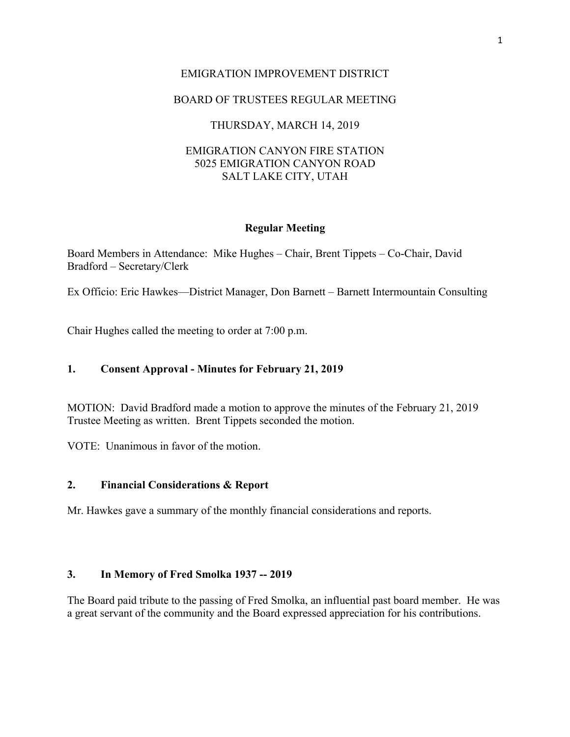## EMIGRATION IMPROVEMENT DISTRICT

# BOARD OF TRUSTEES REGULAR MEETING

## THURSDAY, MARCH 14, 2019

## EMIGRATION CANYON FIRE STATION 5025 EMIGRATION CANYON ROAD SALT LAKE CITY, UTAH

### **Regular Meeting**

Board Members in Attendance: Mike Hughes – Chair, Brent Tippets – Co-Chair, David Bradford – Secretary/Clerk

Ex Officio: Eric Hawkes—District Manager, Don Barnett – Barnett Intermountain Consulting

Chair Hughes called the meeting to order at 7:00 p.m.

## **1. Consent Approval - Minutes for February 21, 2019**

MOTION: David Bradford made a motion to approve the minutes of the February 21, 2019 Trustee Meeting as written. Brent Tippets seconded the motion.

VOTE: Unanimous in favor of the motion.

#### **2. Financial Considerations & Report**

Mr. Hawkes gave a summary of the monthly financial considerations and reports.

### **3. In Memory of Fred Smolka 1937 -- 2019**

The Board paid tribute to the passing of Fred Smolka, an influential past board member. He was a great servant of the community and the Board expressed appreciation for his contributions.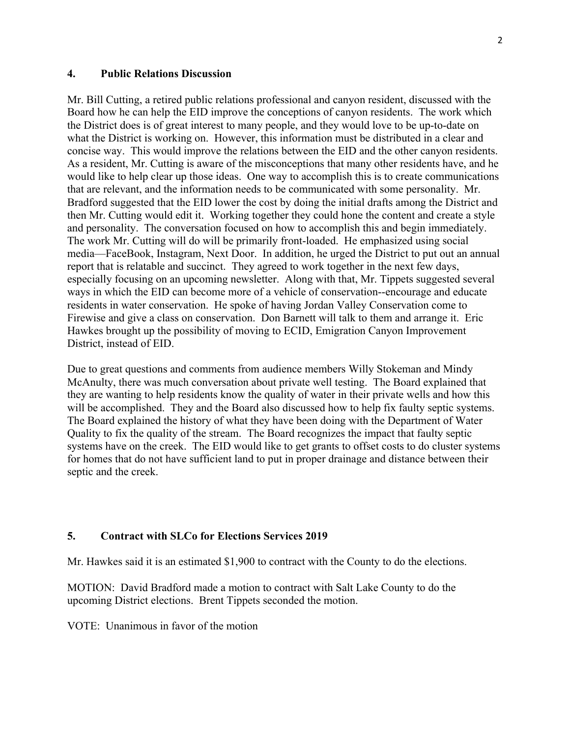## **4. Public Relations Discussion**

Mr. Bill Cutting, a retired public relations professional and canyon resident, discussed with the Board how he can help the EID improve the conceptions of canyon residents. The work which the District does is of great interest to many people, and they would love to be up-to-date on what the District is working on. However, this information must be distributed in a clear and concise way. This would improve the relations between the EID and the other canyon residents. As a resident, Mr. Cutting is aware of the misconceptions that many other residents have, and he would like to help clear up those ideas. One way to accomplish this is to create communications that are relevant, and the information needs to be communicated with some personality. Mr. Bradford suggested that the EID lower the cost by doing the initial drafts among the District and then Mr. Cutting would edit it. Working together they could hone the content and create a style and personality. The conversation focused on how to accomplish this and begin immediately. The work Mr. Cutting will do will be primarily front-loaded. He emphasized using social media—FaceBook, Instagram, Next Door. In addition, he urged the District to put out an annual report that is relatable and succinct. They agreed to work together in the next few days, especially focusing on an upcoming newsletter. Along with that, Mr. Tippets suggested several ways in which the EID can become more of a vehicle of conservation--encourage and educate residents in water conservation. He spoke of having Jordan Valley Conservation come to Firewise and give a class on conservation. Don Barnett will talk to them and arrange it. Eric Hawkes brought up the possibility of moving to ECID, Emigration Canyon Improvement District, instead of EID.

Due to great questions and comments from audience members Willy Stokeman and Mindy McAnulty, there was much conversation about private well testing. The Board explained that they are wanting to help residents know the quality of water in their private wells and how this will be accomplished. They and the Board also discussed how to help fix faulty septic systems. The Board explained the history of what they have been doing with the Department of Water Quality to fix the quality of the stream. The Board recognizes the impact that faulty septic systems have on the creek. The EID would like to get grants to offset costs to do cluster systems for homes that do not have sufficient land to put in proper drainage and distance between their septic and the creek.

## **5. Contract with SLCo for Elections Services 2019**

Mr. Hawkes said it is an estimated \$1,900 to contract with the County to do the elections.

MOTION: David Bradford made a motion to contract with Salt Lake County to do the upcoming District elections. Brent Tippets seconded the motion.

VOTE: Unanimous in favor of the motion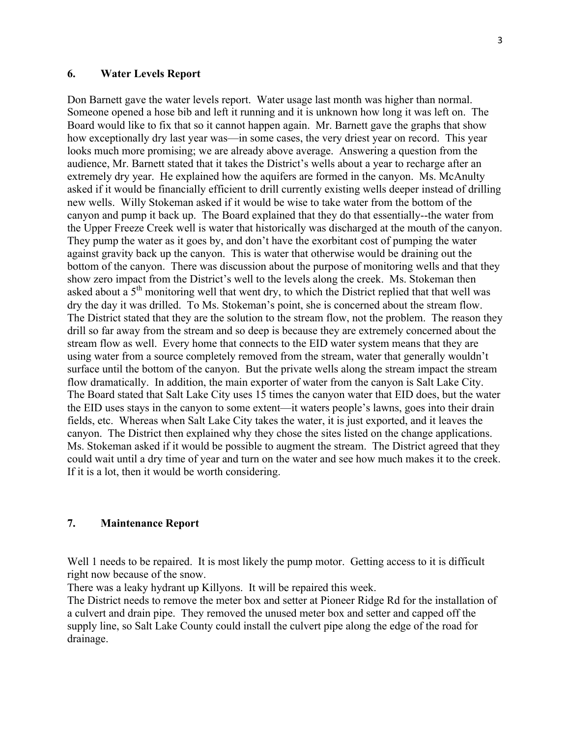## **6. Water Levels Report**

Don Barnett gave the water levels report. Water usage last month was higher than normal. Someone opened a hose bib and left it running and it is unknown how long it was left on. The Board would like to fix that so it cannot happen again. Mr. Barnett gave the graphs that show how exceptionally dry last year was—in some cases, the very driest year on record. This year looks much more promising; we are already above average. Answering a question from the audience, Mr. Barnett stated that it takes the District's wells about a year to recharge after an extremely dry year. He explained how the aquifers are formed in the canyon. Ms. McAnulty asked if it would be financially efficient to drill currently existing wells deeper instead of drilling new wells. Willy Stokeman asked if it would be wise to take water from the bottom of the canyon and pump it back up. The Board explained that they do that essentially--the water from the Upper Freeze Creek well is water that historically was discharged at the mouth of the canyon. They pump the water as it goes by, and don't have the exorbitant cost of pumping the water against gravity back up the canyon. This is water that otherwise would be draining out the bottom of the canyon. There was discussion about the purpose of monitoring wells and that they show zero impact from the District's well to the levels along the creek. Ms. Stokeman then asked about a  $5<sup>th</sup>$  monitoring well that went dry, to which the District replied that that well was dry the day it was drilled. To Ms. Stokeman's point, she is concerned about the stream flow. The District stated that they are the solution to the stream flow, not the problem. The reason they drill so far away from the stream and so deep is because they are extremely concerned about the stream flow as well. Every home that connects to the EID water system means that they are using water from a source completely removed from the stream, water that generally wouldn't surface until the bottom of the canyon. But the private wells along the stream impact the stream flow dramatically. In addition, the main exporter of water from the canyon is Salt Lake City. The Board stated that Salt Lake City uses 15 times the canyon water that EID does, but the water the EID uses stays in the canyon to some extent—it waters people's lawns, goes into their drain fields, etc. Whereas when Salt Lake City takes the water, it is just exported, and it leaves the canyon. The District then explained why they chose the sites listed on the change applications. Ms. Stokeman asked if it would be possible to augment the stream. The District agreed that they could wait until a dry time of year and turn on the water and see how much makes it to the creek. If it is a lot, then it would be worth considering.

## **7. Maintenance Report**

Well 1 needs to be repaired. It is most likely the pump motor. Getting access to it is difficult right now because of the snow.

There was a leaky hydrant up Killyons. It will be repaired this week.

The District needs to remove the meter box and setter at Pioneer Ridge Rd for the installation of a culvert and drain pipe. They removed the unused meter box and setter and capped off the supply line, so Salt Lake County could install the culvert pipe along the edge of the road for drainage.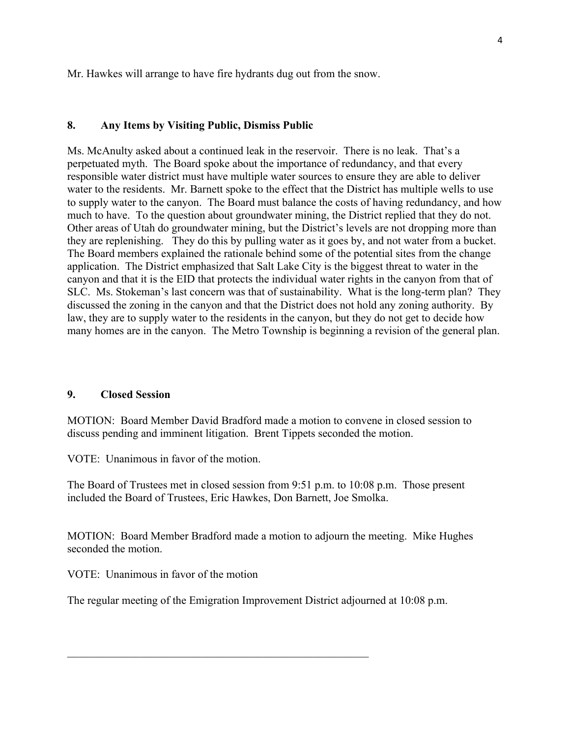Mr. Hawkes will arrange to have fire hydrants dug out from the snow.

## **8. Any Items by Visiting Public, Dismiss Public**

Ms. McAnulty asked about a continued leak in the reservoir. There is no leak. That's a perpetuated myth. The Board spoke about the importance of redundancy, and that every responsible water district must have multiple water sources to ensure they are able to deliver water to the residents. Mr. Barnett spoke to the effect that the District has multiple wells to use to supply water to the canyon. The Board must balance the costs of having redundancy, and how much to have. To the question about groundwater mining, the District replied that they do not. Other areas of Utah do groundwater mining, but the District's levels are not dropping more than they are replenishing. They do this by pulling water as it goes by, and not water from a bucket. The Board members explained the rationale behind some of the potential sites from the change application. The District emphasized that Salt Lake City is the biggest threat to water in the canyon and that it is the EID that protects the individual water rights in the canyon from that of SLC. Ms. Stokeman's last concern was that of sustainability. What is the long-term plan? They discussed the zoning in the canyon and that the District does not hold any zoning authority. By law, they are to supply water to the residents in the canyon, but they do not get to decide how many homes are in the canyon. The Metro Township is beginning a revision of the general plan.

## **9. Closed Session**

MOTION: Board Member David Bradford made a motion to convene in closed session to discuss pending and imminent litigation. Brent Tippets seconded the motion.

VOTE: Unanimous in favor of the motion.

The Board of Trustees met in closed session from 9:51 p.m. to 10:08 p.m. Those present included the Board of Trustees, Eric Hawkes, Don Barnett, Joe Smolka.

MOTION: Board Member Bradford made a motion to adjourn the meeting. Mike Hughes seconded the motion.

VOTE: Unanimous in favor of the motion

The regular meeting of the Emigration Improvement District adjourned at 10:08 p.m.

 $\mathcal{L}_\text{max}$  , and the contract of the contract of the contract of the contract of the contract of the contract of the contract of the contract of the contract of the contract of the contract of the contract of the contr